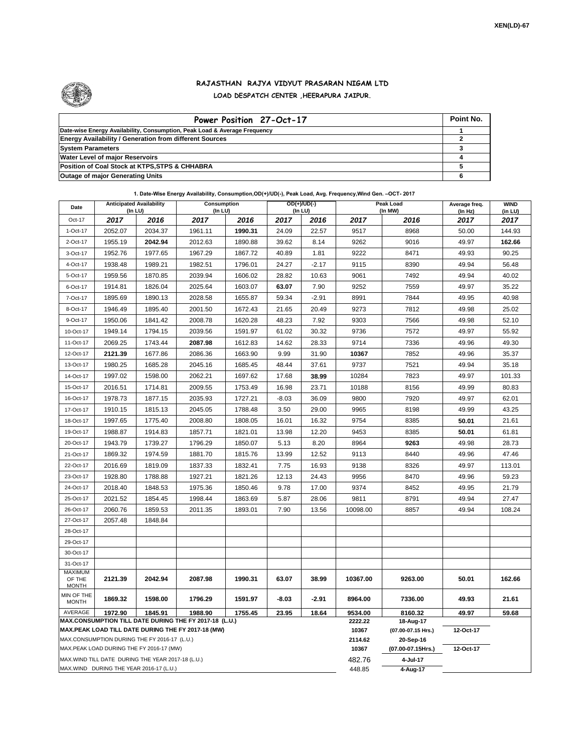

## **RAJASTHAN RAJYA VIDYUT PRASARAN NIGAM LTD LOAD DESPATCH CENTER ,HEERAPURA JAIPUR.**

| Power Position 27-Oct-17                                                  | Point No. |
|---------------------------------------------------------------------------|-----------|
| Date-wise Energy Availability, Consumption, Peak Load & Average Frequency |           |
| <b>Energy Availability / Generation from different Sources</b>            |           |
| <b>System Parameters</b>                                                  |           |
| <b>Water Level of major Reservoirs</b>                                    |           |
| Position of Coal Stock at KTPS, STPS & CHHABRA                            |           |
| <b>Outage of major Generating Units</b>                                   |           |

**1. Date-Wise Energy Availability, Consumption,OD(+)/UD(-), Peak Load, Avg. Frequency,Wind Gen. –OCT- 2017**

| Date                                                                                                         | <b>Anticipated Availability</b><br>$($ In LU $)$ |         | Consumption<br>(In LU) |         | OD(+)/UD(-)<br>(In LU) |                  |                                 | Peak Load<br>(In MW) | Average freq.<br>(In Hz) | <b>WIND</b><br>(in LU) |  |  |
|--------------------------------------------------------------------------------------------------------------|--------------------------------------------------|---------|------------------------|---------|------------------------|------------------|---------------------------------|----------------------|--------------------------|------------------------|--|--|
| Oct-17                                                                                                       | 2017                                             | 2016    | 2017                   | 2016    | 2017                   | 2016             | 2017                            | 2016                 | 2017                     | 2017                   |  |  |
| 1-Oct-17                                                                                                     | 2052.07                                          | 2034.37 | 1961.11                | 1990.31 | 24.09                  | 22.57            | 9517                            | 8968                 | 50.00                    | 144.93                 |  |  |
| 2-Oct-17                                                                                                     | 1955.19                                          | 2042.94 | 2012.63                | 1890.88 | 39.62                  | 8.14             | 9262                            | 9016                 | 49.97                    | 162.66                 |  |  |
| 3-Oct-17                                                                                                     | 1952.76                                          | 1977.65 | 1967.29                | 1867.72 | 40.89                  | 1.81             | 9222                            | 8471                 | 49.93                    | 90.25                  |  |  |
| 4-Oct-17                                                                                                     | 1938.48                                          | 1989.21 | 1982.51                | 1796.01 | 24.27                  | $-2.17$          | 9115                            | 8390                 | 49.94                    | 56.48                  |  |  |
| 5-Oct-17                                                                                                     | 1959.56                                          | 1870.85 | 2039.94                | 1606.02 | 28.82                  | 10.63            | 9061                            | 7492                 | 49.94                    | 40.02                  |  |  |
| 6-Oct-17                                                                                                     | 1914.81                                          | 1826.04 | 2025.64                | 1603.07 | 63.07                  | 7.90             | 9252                            | 7559                 | 49.97                    | 35.22                  |  |  |
| 7-Oct-17                                                                                                     | 1895.69                                          | 1890.13 | 2028.58                | 1655.87 | 59.34                  | $-2.91$          | 8991                            | 7844                 | 49.95                    | 40.98                  |  |  |
| 8-Oct-17                                                                                                     | 1946.49                                          | 1895.40 | 2001.50                | 1672.43 | 21.65                  | 20.49            | 9273                            | 7812                 | 49.98                    | 25.02                  |  |  |
| 9-Oct-17                                                                                                     | 1950.06                                          | 1841.42 | 2008.78                | 1620.28 | 48.23                  | 7.92             | 9303                            | 7566                 | 49.98                    | 52.10                  |  |  |
| 10-Oct-17                                                                                                    | 1949.14                                          | 1794.15 | 2039.56                | 1591.97 | 61.02                  | 30.32            | 9736                            | 7572                 | 49.97                    | 55.92                  |  |  |
| 11-Oct-17                                                                                                    | 2069.25                                          | 1743.44 | 2087.98                | 1612.83 | 14.62                  | 28.33            | 9714                            | 7336                 | 49.96                    | 49.30                  |  |  |
| 12-Oct-17                                                                                                    | 2121.39                                          | 1677.86 | 2086.36                | 1663.90 | 9.99                   | 31.90            | 10367                           | 7852                 | 49.96                    | 35.37                  |  |  |
| 13-Oct-17                                                                                                    | 1980.25                                          | 1685.28 | 2045.16                | 1685.45 | 48.44                  | 37.61            | 9737                            | 7521                 | 49.94                    | 35.18                  |  |  |
| 14-Oct-17                                                                                                    | 1997.02                                          | 1598.00 | 2062.21                | 1697.62 | 17.68                  | 38.99            | 10284                           | 7823                 | 49.97                    | 101.33                 |  |  |
| 15-Oct-17                                                                                                    | 2016.51                                          | 1714.81 | 2009.55                | 1753.49 | 16.98                  | 23.71            | 10188                           | 8156                 | 49.99                    | 80.83                  |  |  |
| 16-Oct-17                                                                                                    | 1978.73                                          | 1877.15 | 2035.93                | 1727.21 | $-8.03$                | 36.09            | 9800                            | 7920                 | 49.97                    | 62.01                  |  |  |
| 17-Oct-17                                                                                                    | 1910.15                                          | 1815.13 | 2045.05                | 1788.48 | 3.50                   | 29.00            | 9965                            | 8198                 | 49.99                    | 43.25                  |  |  |
| 18-Oct-17                                                                                                    | 1997.65                                          | 1775.40 | 2008.80                | 1808.05 | 16.01                  | 16.32            | 9754                            | 8385                 | 50.01                    | 21.61                  |  |  |
| 19-Oct-17                                                                                                    | 1988.87                                          | 1914.83 | 1857.71                | 1821.01 | 13.98                  | 12.20            | 9453                            | 8385                 | 50.01                    | 61.81                  |  |  |
| 20-Oct-17                                                                                                    | 1943.79                                          | 1739.27 | 1796.29                | 1850.07 | 5.13                   | 8.20             | 8964                            | 9263                 | 49.98                    | 28.73                  |  |  |
| 21-Oct-17                                                                                                    | 1869.32                                          | 1974.59 | 1881.70                | 1815.76 | 13.99                  | 12.52            | 9113                            | 8440                 | 49.96                    | 47.46                  |  |  |
| 22-Oct-17                                                                                                    | 2016.69                                          | 1819.09 | 1837.33                | 1832.41 | 7.75                   | 16.93            | 9138                            | 8326                 | 49.97                    | 113.01                 |  |  |
| 23-Oct-17                                                                                                    | 1928.80                                          | 1788.88 | 1927.21                | 1821.26 | 12.13                  | 24.43            | 9956                            | 8470                 | 49.96                    | 59.23                  |  |  |
| 24-Oct-17                                                                                                    | 2018.40                                          | 1848.53 | 1975.36                | 1850.46 | 9.78                   | 17.00            | 9374                            | 8452                 | 49.95                    | 21.79                  |  |  |
| 25-Oct-17                                                                                                    | 2021.52                                          | 1854.45 | 1998.44                | 1863.69 | 5.87                   | 28.06            | 9811                            | 8791                 | 49.94                    | 27.47                  |  |  |
| 26-Oct-17                                                                                                    | 2060.76                                          | 1859.53 | 2011.35                | 1893.01 | 7.90                   | 13.56            | 10098.00                        | 8857                 | 49.94                    | 108.24                 |  |  |
| 27-Oct-17                                                                                                    | 2057.48                                          | 1848.84 |                        |         |                        |                  |                                 |                      |                          |                        |  |  |
| 28-Oct-17                                                                                                    |                                                  |         |                        |         |                        |                  |                                 |                      |                          |                        |  |  |
| 29-Oct-17                                                                                                    |                                                  |         |                        |         |                        |                  |                                 |                      |                          |                        |  |  |
| 30-Oct-17                                                                                                    |                                                  |         |                        |         |                        |                  |                                 |                      |                          |                        |  |  |
| 31-Oct-17                                                                                                    |                                                  |         |                        |         |                        |                  |                                 |                      |                          |                        |  |  |
| <b>MAXIMUM</b><br>OF THE<br><b>MONTH</b>                                                                     | 2121.39                                          | 2042.94 | 2087.98                | 1990.31 | 63.07                  | 38.99            | 10367.00                        | 9263.00              | 50.01                    | 162.66                 |  |  |
| MIN OF THE<br><b>MONTH</b>                                                                                   | 1869.32                                          | 1598.00 | 1796.29                | 1591.97 | $-8.03$                | $-2.91$          | 8964.00                         | 7336.00              | 49.93                    | 21.61                  |  |  |
| AVERAGE                                                                                                      | 1972.90                                          | 1845.91 | 1988.90                | 1755.45 | 23.95                  | 18.64            | 9534.00                         | 8160.32              | 49.97                    | 59.68                  |  |  |
| MAX.CONSUMPTION TILL DATE DURING THE FY 2017-18 (L.U.)<br>MAX.PEAK LOAD TILL DATE DURING THE FY 2017-18 (MW) |                                                  |         |                        |         |                        | 2222.22<br>10367 | 18-Aug-17<br>(07.00-07.15 Hrs.) | 12-Oct-17            |                          |                        |  |  |
| MAX.CONSUMPTION DURING THE FY 2016-17 (L.U.)                                                                 |                                                  |         |                        |         |                        | 2114.62          | 20-Sep-16                       |                      |                          |                        |  |  |
| MAX.PEAK LOAD DURING THE FY 2016-17 (MW)                                                                     |                                                  |         |                        |         |                        | 10367            | (07.00-07.15Hrs.)               | 12-Oct-17            |                          |                        |  |  |
| MAX.WIND TILL DATE DURING THE YEAR 2017-18 (L.U.)                                                            |                                                  |         |                        |         |                        |                  | 482.76                          | 4-Jul-17             |                          |                        |  |  |
| MAX.WIND DURING THE YEAR 2016-17 (L.U.)                                                                      |                                                  |         |                        |         |                        |                  | 448.85                          | 4-Aug-17             |                          |                        |  |  |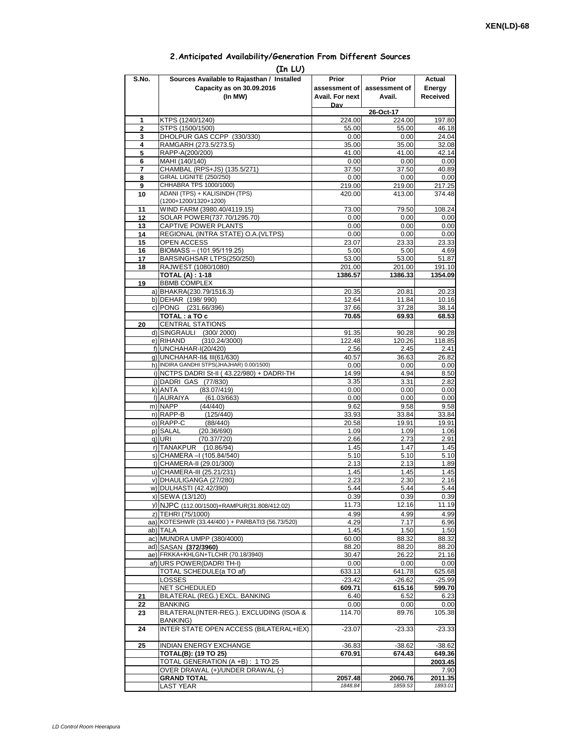## **2.Anticipated Availability/Generation From Different Sources**

| (In LU)        |                                                                          |                 |                |                 |  |  |  |  |  |  |
|----------------|--------------------------------------------------------------------------|-----------------|----------------|-----------------|--|--|--|--|--|--|
| S.No.          | Sources Available to Rajasthan / Installed                               | Prior           | Prior          | Actual          |  |  |  |  |  |  |
|                | Capacity as on 30.09.2016                                                | assessment of I | assessment of  | Energy          |  |  |  |  |  |  |
|                | (In MW)                                                                  | Avail. For next | Avail.         | Received        |  |  |  |  |  |  |
|                |                                                                          | Dav             | 26-Oct-17      |                 |  |  |  |  |  |  |
| 1              | KTPS (1240/1240)                                                         | 224.00          | 224.00         | 197.80          |  |  |  |  |  |  |
| $\overline{2}$ | STPS (1500/1500)                                                         | 55.00           | 55.00          | 46.18           |  |  |  |  |  |  |
| 3              | DHOLPUR GAS CCPP (330/330)                                               | 0.00            | 0.00           | 24.04           |  |  |  |  |  |  |
| 4              | RAMGARH (273.5/273.5)                                                    | 35.00           | 35.00          | 32.08           |  |  |  |  |  |  |
| 5              | RAPP-A(200/200)                                                          | 41.00           | 41.00          | 42.14<br>0.00   |  |  |  |  |  |  |
| 6<br>7         | MAHI (140/140)<br>CHAMBAL (RPS+JS) (135.5/271)                           | 0.00<br>37.50   | 0.00<br>37.50  | 40.89           |  |  |  |  |  |  |
| 8              | GIRAL LIGNITE (250/250)                                                  | 0.00            | 0.00           | 0.00            |  |  |  |  |  |  |
| 9              | CHHABRA TPS 1000/1000)                                                   | 219.00          | 219.00         | 217.25          |  |  |  |  |  |  |
| 10             | ADANI (TPS) + KALISINDH (TPS)                                            | 420.00          | 413.00         | 374.48          |  |  |  |  |  |  |
|                | (1200+1200/1320+1200)                                                    |                 |                |                 |  |  |  |  |  |  |
| 11<br>12       | WIND FARM (3980.40/4119.15)<br>SOLAR POWER(737.70/1295.70)               | 73.00           | 79.50          | 108.24          |  |  |  |  |  |  |
| 13             | CAPTIVE POWER PLANTS                                                     | 0.00<br>0.00    | 0.00<br>0.00   | 0.00<br>0.00    |  |  |  |  |  |  |
| 14             | REGIONAL (INTRA STATE) O.A. (VLTPS)                                      | 0.00            | 0.00           | 0.00            |  |  |  |  |  |  |
| 15             | <b>OPEN ACCESS</b>                                                       | 23.07           | 23.33          | 23.33           |  |  |  |  |  |  |
| 16             | BIOMASS - (101.95/119.25)                                                | 5.00            | 5.00           | 4.69            |  |  |  |  |  |  |
| 17             | BARSINGHSAR LTPS(250/250)                                                | 53.00           | 53.00          | 51.87           |  |  |  |  |  |  |
| 18             | RAJWEST (1080/1080)                                                      | 201.00          | 201.00         | 191.10          |  |  |  |  |  |  |
|                | <b>TOTAL (A): 1-18</b>                                                   | 1386.57         | 1386.33        | 1354.09         |  |  |  |  |  |  |
| 19             | <b>BBMB COMPLEX</b><br>a) BHAKRA(230.79/1516.3)                          | 20.35           | 20.81          | 20.23           |  |  |  |  |  |  |
|                | b) DEHAR (198/990)                                                       | 12.64           | 11.84          | 10.16           |  |  |  |  |  |  |
|                | c) PONG (231.66/396)                                                     | 37.66           | 37.28          | 38.14           |  |  |  |  |  |  |
|                | TOTAL: a TO c                                                            | 70.65           | 69.93          | 68.53           |  |  |  |  |  |  |
| 20             | <b>CENTRAL STATIONS</b>                                                  |                 |                |                 |  |  |  |  |  |  |
|                | d) SINGRAULI (300/2000)                                                  | 91.35           | 90.28          | 90.28           |  |  |  |  |  |  |
|                | e) RIHAND<br>(310.24/3000)                                               | 122.48          | 120.26         | 118.85          |  |  |  |  |  |  |
|                | f) UNCHAHAR-I(20/420)                                                    | 2.56            | 2.45           | 2.41            |  |  |  |  |  |  |
|                | g) UNCHAHAR-II& III(61/630)<br>h) INDIRA GANDHI STPS(JHAJHAR) 0.00/1500) | 40.57<br>0.00   | 36.63<br>0.00  | 26.82<br>0.00   |  |  |  |  |  |  |
|                | i) NCTPS DADRI St-II (43.22/980) + DADRI-TH                              | 14.99           | 4.94           | 8.50            |  |  |  |  |  |  |
|                | j) DADRI GAS (77/830)                                                    | 3.35            | 3.31           | 2.82            |  |  |  |  |  |  |
|                | (83.07/419)<br>k) ANTA                                                   | 0.00            | 0.00           | 0.00            |  |  |  |  |  |  |
|                | I) AURAIYA<br>(61.03/663)                                                | 0.00            | 0.00           | 0.00            |  |  |  |  |  |  |
|                | m) NAPP<br>(44/440)                                                      | 9.62            | 9.58           | 9.58            |  |  |  |  |  |  |
|                | n) RAPP-B<br>(125/440)                                                   | 33.93           | 33.84          | 33.84           |  |  |  |  |  |  |
|                | o) RAPP-C<br>(88/440)<br>p) SALAL<br>(20.36/690)                         | 20.58<br>1.09   | 19.91<br>1.09  | 19.91<br>1.06   |  |  |  |  |  |  |
|                | q) URI<br>(70.37/720)                                                    | 2.66            | 2.73           | 2.91            |  |  |  |  |  |  |
|                | r) TANAKPUR (10.86/94)                                                   | 1.45            | 1.47           | 1.45            |  |  |  |  |  |  |
|                | s) CHAMERA - (105.84/540)                                                | 5.10            | 5.10           | 5.10            |  |  |  |  |  |  |
|                | t) CHAMERA-II (29.01/300)                                                | 2.13            | 2.13           | 1.89            |  |  |  |  |  |  |
|                | u) CHAMERA-III (25.21/231)                                               | 1.45            | 1.45           | 1.45            |  |  |  |  |  |  |
|                | v) DHAULIGANGA (27/280)                                                  | 2.23            | 2.30           | 2.16            |  |  |  |  |  |  |
|                | w) DULHASTI (42.42/390)                                                  | 5.44            | 5.44           | 5.44            |  |  |  |  |  |  |
|                | x) SEWA (13/120)                                                         | 0.39<br>11.73   | 0.39<br>12.16  | 0.39<br>11.19   |  |  |  |  |  |  |
|                | y) NJPC (112.00/1500)+RAMPUR(31.808/412.02)<br>z) TEHRI (75/1000)        | 4.99            | 4.99           | 4.99            |  |  |  |  |  |  |
|                | aa) KOTESHWR (33.44/400) + PARBATI3 (56.73/520)                          | 4.29            | 7.17           | 6.96            |  |  |  |  |  |  |
|                | ab) TALA                                                                 | 1.45            | 1.50           | 1.50            |  |  |  |  |  |  |
|                | ac) MUNDRA UMPP (380/4000)                                               | 60.00           | 88.32          | 88.32           |  |  |  |  |  |  |
|                | ad) SASAN (372/3960)                                                     | 88.20           | 88.20          | 88.20           |  |  |  |  |  |  |
|                | ae) FRKKA+KHLGN+TLCHR (70.18/3940)                                       | 30.47           | 26.22          | 21.16           |  |  |  |  |  |  |
|                | af) URS POWER(DADRITH-I)                                                 | 0.00            | 0.00           | 0.00            |  |  |  |  |  |  |
|                | TOTAL SCHEDULE(a TO af)                                                  | 633.13          | 641.78         | 625.68          |  |  |  |  |  |  |
|                | LOSSES                                                                   | $-23.42$        | $-26.62$       | $-25.99$        |  |  |  |  |  |  |
| 21             | NET SCHEDULED<br>BILATERAL (REG.) EXCL. BANKING                          | 609.71<br>6.40  | 615.16<br>6.52 | 599.70<br>6.23  |  |  |  |  |  |  |
| 22             | BANKING                                                                  | 0.00            | 0.00           | 0.00            |  |  |  |  |  |  |
| 23             | BILATERAL(INTER-REG.). EXCLUDING (ISOA &                                 | 114.70          | 89.76          | 105.38          |  |  |  |  |  |  |
|                | BANKING)                                                                 |                 |                |                 |  |  |  |  |  |  |
| 24             | INTER STATE OPEN ACCESS (BILATERAL+IEX)                                  | $-23.07$        | $-23.33$       | $-23.33$        |  |  |  |  |  |  |
|                |                                                                          |                 |                |                 |  |  |  |  |  |  |
| 25             | <b>INDIAN ENERGY EXCHANGE</b>                                            | $-36.83$        | $-38.62$       | $-38.62$        |  |  |  |  |  |  |
|                | <b>TOTAL(B): (19 TO 25)</b>                                              | 670.91          | 674.43         | 649.36          |  |  |  |  |  |  |
|                | TOTAL GENERATION (A +B) : 1 TO 25                                        |                 |                | 2003.45         |  |  |  |  |  |  |
|                | OVER DRAWAL (+)/UNDER DRAWAL (-)<br><b>GRAND TOTAL</b>                   | 2057.48         | 2060.76        | 7.90<br>2011.35 |  |  |  |  |  |  |
|                | <b>LAST YEAR</b>                                                         | 1848.84         | 1859.53        | 1893.01         |  |  |  |  |  |  |
|                |                                                                          |                 |                |                 |  |  |  |  |  |  |